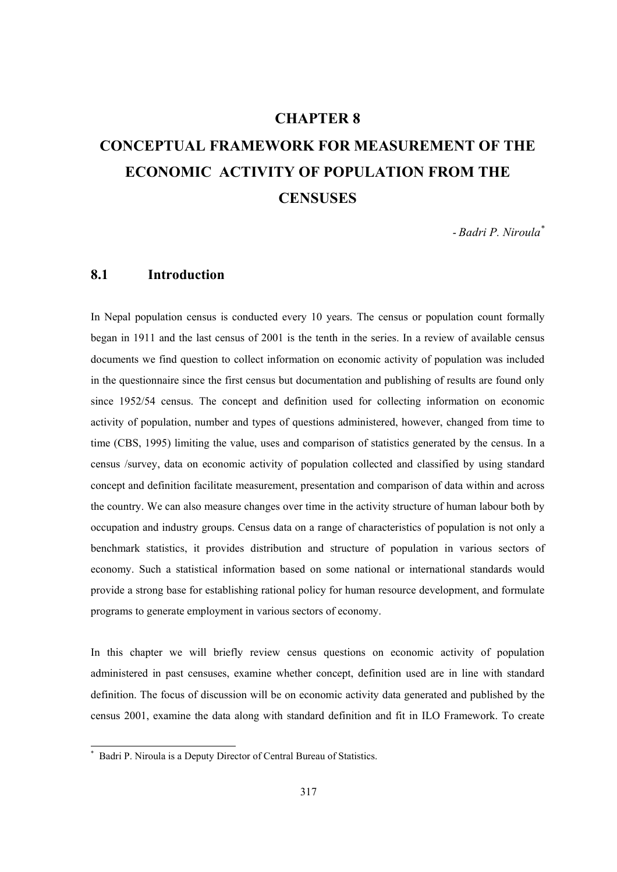# **CHAPTER 8**

# **CONCEPTUAL FRAMEWORK FOR MEASUREMENT OF THE ECONOMIC ACTIVITY OF POPULATION FROM THE CENSUSES**

*- Badri P. Niroula\**

# **8.1 Introduction**

In Nepal population census is conducted every 10 years. The census or population count formally began in 1911 and the last census of 2001 is the tenth in the series. In a review of available census documents we find question to collect information on economic activity of population was included in the questionnaire since the first census but documentation and publishing of results are found only since 1952/54 census. The concept and definition used for collecting information on economic activity of population, number and types of questions administered, however, changed from time to time (CBS, 1995) limiting the value, uses and comparison of statistics generated by the census. In a census /survey, data on economic activity of population collected and classified by using standard concept and definition facilitate measurement, presentation and comparison of data within and across the country. We can also measure changes over time in the activity structure of human labour both by occupation and industry groups. Census data on a range of characteristics of population is not only a benchmark statistics, it provides distribution and structure of population in various sectors of economy. Such a statistical information based on some national or international standards would provide a strong base for establishing rational policy for human resource development, and formulate programs to generate employment in various sectors of economy.

In this chapter we will briefly review census questions on economic activity of population administered in past censuses, examine whether concept, definition used are in line with standard definition. The focus of discussion will be on economic activity data generated and published by the census 2001, examine the data along with standard definition and fit in ILO Framework. To create

 $\overline{a}$ 

<sup>\*</sup> Badri P. Niroula is a Deputy Director of Central Bureau of Statistics.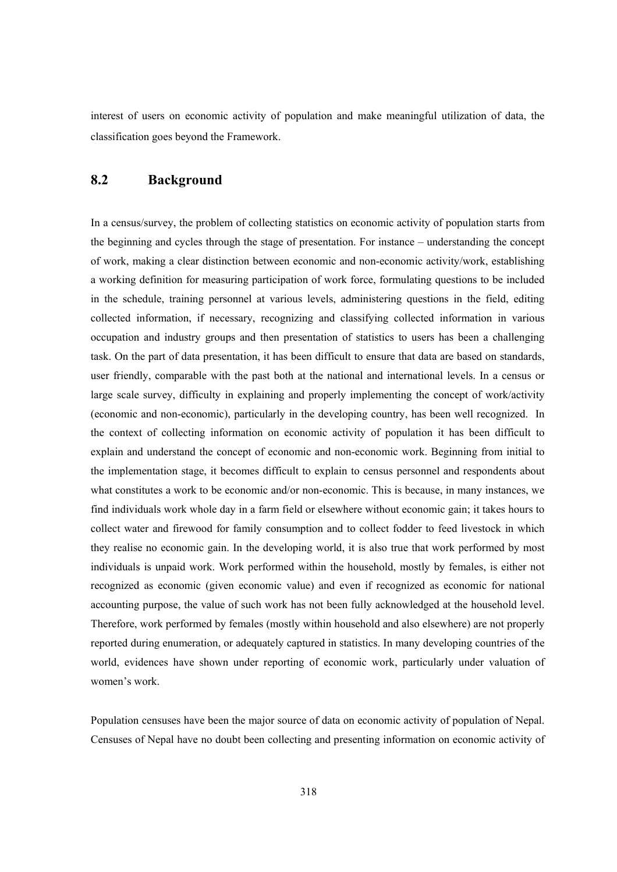interest of users on economic activity of population and make meaningful utilization of data, the classification goes beyond the Framework.

# **8.2 Background**

In a census/survey, the problem of collecting statistics on economic activity of population starts from the beginning and cycles through the stage of presentation. For instance – understanding the concept of work, making a clear distinction between economic and non-economic activity/work, establishing a working definition for measuring participation of work force, formulating questions to be included in the schedule, training personnel at various levels, administering questions in the field, editing collected information, if necessary, recognizing and classifying collected information in various occupation and industry groups and then presentation of statistics to users has been a challenging task. On the part of data presentation, it has been difficult to ensure that data are based on standards, user friendly, comparable with the past both at the national and international levels. In a census or large scale survey, difficulty in explaining and properly implementing the concept of work/activity (economic and non-economic), particularly in the developing country, has been well recognized. In the context of collecting information on economic activity of population it has been difficult to explain and understand the concept of economic and non-economic work. Beginning from initial to the implementation stage, it becomes difficult to explain to census personnel and respondents about what constitutes a work to be economic and/or non-economic. This is because, in many instances, we find individuals work whole day in a farm field or elsewhere without economic gain; it takes hours to collect water and firewood for family consumption and to collect fodder to feed livestock in which they realise no economic gain. In the developing world, it is also true that work performed by most individuals is unpaid work. Work performed within the household, mostly by females, is either not recognized as economic (given economic value) and even if recognized as economic for national accounting purpose, the value of such work has not been fully acknowledged at the household level. Therefore, work performed by females (mostly within household and also elsewhere) are not properly reported during enumeration, or adequately captured in statistics. In many developing countries of the world, evidences have shown under reporting of economic work, particularly under valuation of women's work.

Population censuses have been the major source of data on economic activity of population of Nepal. Censuses of Nepal have no doubt been collecting and presenting information on economic activity of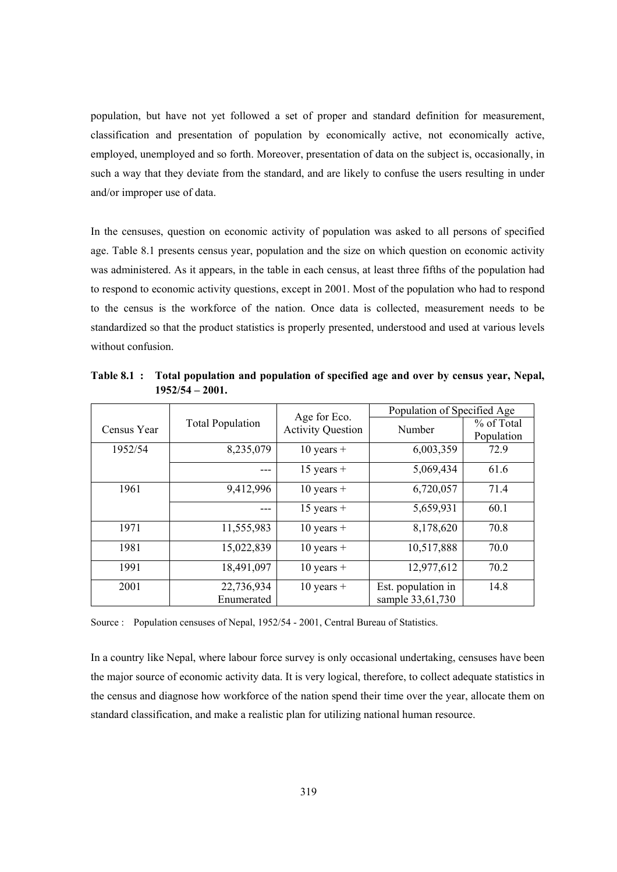population, but have not yet followed a set of proper and standard definition for measurement, classification and presentation of population by economically active, not economically active, employed, unemployed and so forth. Moreover, presentation of data on the subject is, occasionally, in such a way that they deviate from the standard, and are likely to confuse the users resulting in under and/or improper use of data.

In the censuses, question on economic activity of population was asked to all persons of specified age. Table 8.1 presents census year, population and the size on which question on economic activity was administered. As it appears, in the table in each census, at least three fifths of the population had to respond to economic activity questions, except in 2001. Most of the population who had to respond to the census is the workforce of the nation. Once data is collected, measurement needs to be standardized so that the product statistics is properly presented, understood and used at various levels without confusion.

|             |                          |                                          | Population of Specified Age            |                          |  |  |  |  |  |
|-------------|--------------------------|------------------------------------------|----------------------------------------|--------------------------|--|--|--|--|--|
| Census Year | <b>Total Population</b>  | Age for Eco.<br><b>Activity Question</b> | Number                                 | % of Total<br>Population |  |  |  |  |  |
| 1952/54     | 8,235,079                | $10$ years +                             | 6,003,359                              | 72.9                     |  |  |  |  |  |
|             |                          | $15$ years +                             | 5,069,434                              | 61.6                     |  |  |  |  |  |
| 1961        | 9,412,996                | $10$ years +                             | 6,720,057                              | 71.4                     |  |  |  |  |  |
|             |                          | $15$ years +                             | 5,659,931                              | 60.1                     |  |  |  |  |  |
| 1971        | 11,555,983               | $10$ years +                             | 8,178,620                              | 70.8                     |  |  |  |  |  |
| 1981        | 15,022,839               | $10$ years +                             | 10,517,888                             | 70.0                     |  |  |  |  |  |
| 1991        | 18,491,097               | $10$ years +                             | 12,977,612                             | 70.2                     |  |  |  |  |  |
| 2001        | 22,736,934<br>Enumerated | $10$ years +                             | Est. population in<br>sample 33,61,730 | 14.8                     |  |  |  |  |  |

**Table 8.1 : Total population and population of specified age and over by census year, Nepal, 1952/54 – 2001.** 

Source : Population censuses of Nepal, 1952/54 - 2001, Central Bureau of Statistics.

In a country like Nepal, where labour force survey is only occasional undertaking, censuses have been the major source of economic activity data. It is very logical, therefore, to collect adequate statistics in the census and diagnose how workforce of the nation spend their time over the year, allocate them on standard classification, and make a realistic plan for utilizing national human resource.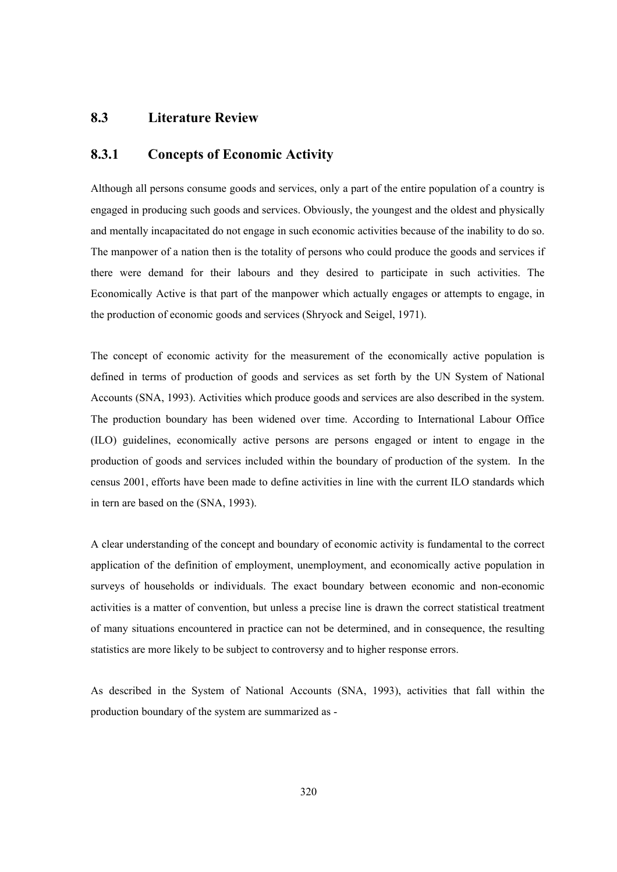### **8.3 Literature Review**

### **8.3.1 Concepts of Economic Activity**

Although all persons consume goods and services, only a part of the entire population of a country is engaged in producing such goods and services. Obviously, the youngest and the oldest and physically and mentally incapacitated do not engage in such economic activities because of the inability to do so. The manpower of a nation then is the totality of persons who could produce the goods and services if there were demand for their labours and they desired to participate in such activities. The Economically Active is that part of the manpower which actually engages or attempts to engage, in the production of economic goods and services (Shryock and Seigel, 1971).

The concept of economic activity for the measurement of the economically active population is defined in terms of production of goods and services as set forth by the UN System of National Accounts (SNA, 1993). Activities which produce goods and services are also described in the system. The production boundary has been widened over time. According to International Labour Office (ILO) guidelines, economically active persons are persons engaged or intent to engage in the production of goods and services included within the boundary of production of the system. In the census 2001, efforts have been made to define activities in line with the current ILO standards which in tern are based on the (SNA, 1993).

A clear understanding of the concept and boundary of economic activity is fundamental to the correct application of the definition of employment, unemployment, and economically active population in surveys of households or individuals. The exact boundary between economic and non-economic activities is a matter of convention, but unless a precise line is drawn the correct statistical treatment of many situations encountered in practice can not be determined, and in consequence, the resulting statistics are more likely to be subject to controversy and to higher response errors.

As described in the System of National Accounts (SNA, 1993), activities that fall within the production boundary of the system are summarized as -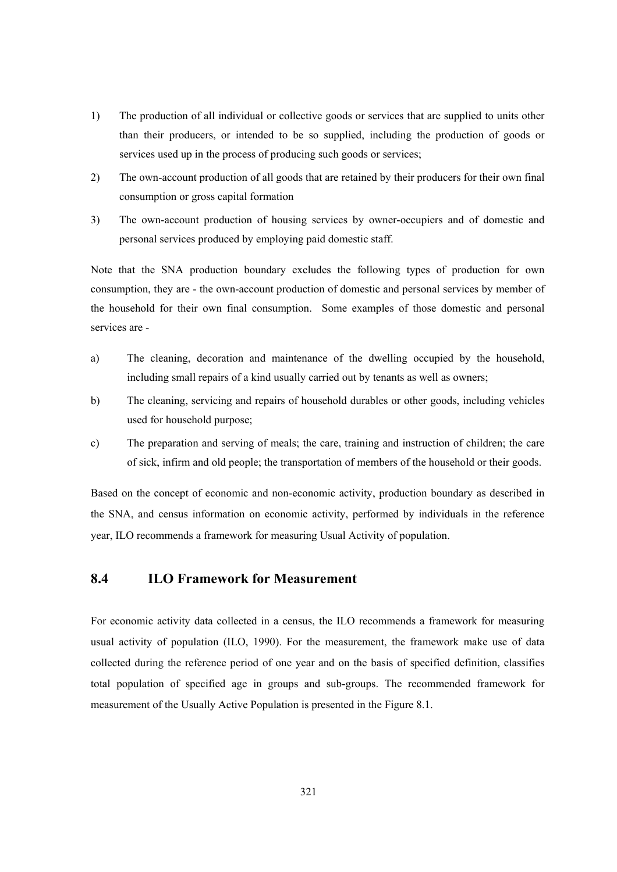- 1) The production of all individual or collective goods or services that are supplied to units other than their producers, or intended to be so supplied, including the production of goods or services used up in the process of producing such goods or services;
- 2) The own-account production of all goods that are retained by their producers for their own final consumption or gross capital formation
- 3) The own-account production of housing services by owner-occupiers and of domestic and personal services produced by employing paid domestic staff.

Note that the SNA production boundary excludes the following types of production for own consumption, they are - the own-account production of domestic and personal services by member of the household for their own final consumption. Some examples of those domestic and personal services are -

- a) The cleaning, decoration and maintenance of the dwelling occupied by the household, including small repairs of a kind usually carried out by tenants as well as owners;
- b) The cleaning, servicing and repairs of household durables or other goods, including vehicles used for household purpose;
- c) The preparation and serving of meals; the care, training and instruction of children; the care of sick, infirm and old people; the transportation of members of the household or their goods.

Based on the concept of economic and non-economic activity, production boundary as described in the SNA, and census information on economic activity, performed by individuals in the reference year, ILO recommends a framework for measuring Usual Activity of population.

# **8.4 ILO Framework for Measurement**

For economic activity data collected in a census, the ILO recommends a framework for measuring usual activity of population (ILO, 1990). For the measurement, the framework make use of data collected during the reference period of one year and on the basis of specified definition, classifies total population of specified age in groups and sub-groups. The recommended framework for measurement of the Usually Active Population is presented in the Figure 8.1.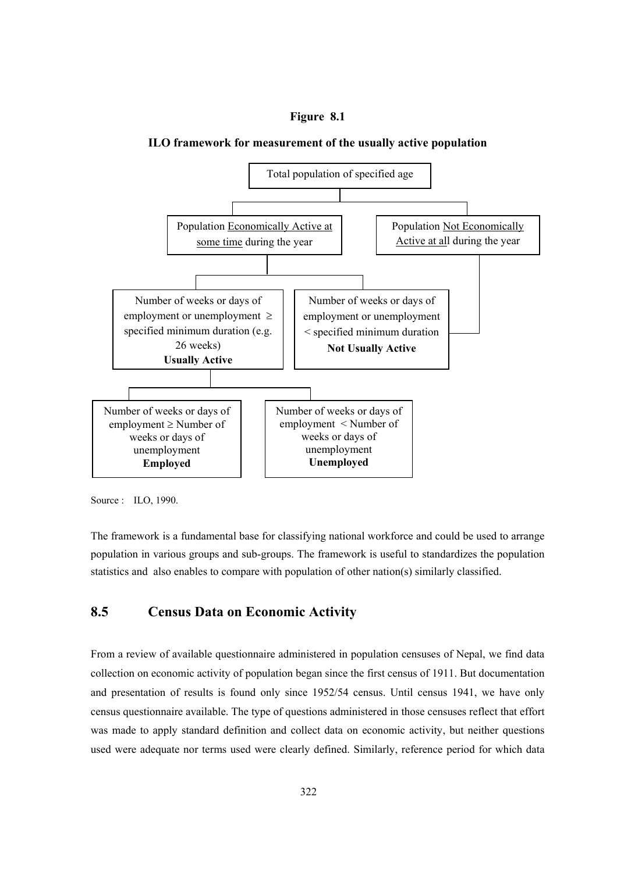#### **Figure 8.1**



#### **ILO framework for measurement of the usually active population**

Source : ILO, 1990.

The framework is a fundamental base for classifying national workforce and could be used to arrange population in various groups and sub-groups. The framework is useful to standardizes the population statistics and also enables to compare with population of other nation(s) similarly classified.

# **8.5 Census Data on Economic Activity**

From a review of available questionnaire administered in population censuses of Nepal, we find data collection on economic activity of population began since the first census of 1911. But documentation and presentation of results is found only since 1952/54 census. Until census 1941, we have only census questionnaire available. The type of questions administered in those censuses reflect that effort was made to apply standard definition and collect data on economic activity, but neither questions used were adequate nor terms used were clearly defined. Similarly, reference period for which data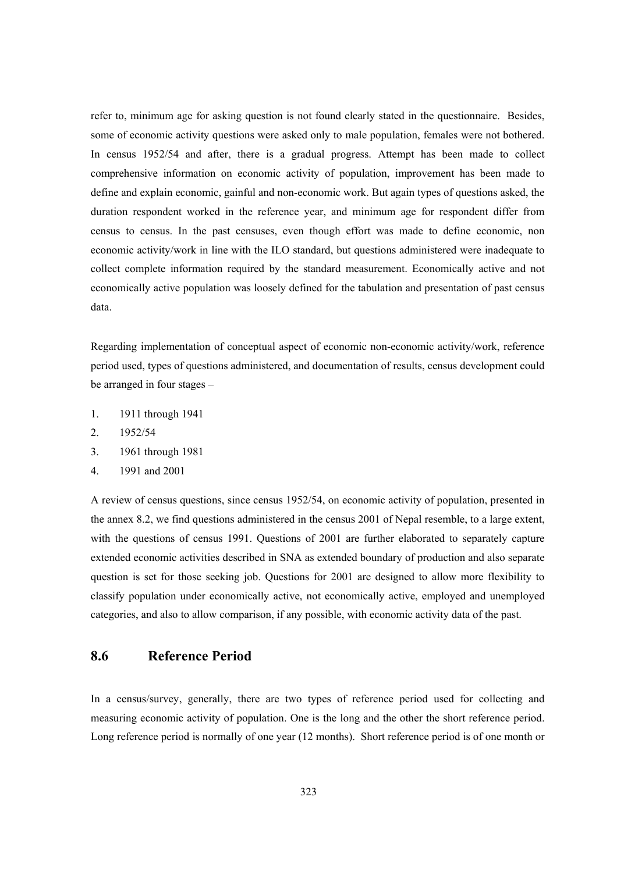refer to, minimum age for asking question is not found clearly stated in the questionnaire. Besides, some of economic activity questions were asked only to male population, females were not bothered. In census 1952/54 and after, there is a gradual progress. Attempt has been made to collect comprehensive information on economic activity of population, improvement has been made to define and explain economic, gainful and non-economic work. But again types of questions asked, the duration respondent worked in the reference year, and minimum age for respondent differ from census to census. In the past censuses, even though effort was made to define economic, non economic activity/work in line with the ILO standard, but questions administered were inadequate to collect complete information required by the standard measurement. Economically active and not economically active population was loosely defined for the tabulation and presentation of past census data.

Regarding implementation of conceptual aspect of economic non-economic activity/work, reference period used, types of questions administered, and documentation of results, census development could be arranged in four stages –

- 1. 1911 through 1941
- 2. 1952/54
- 3. 1961 through 1981
- 4. 1991 and 2001

A review of census questions, since census 1952/54, on economic activity of population, presented in the annex 8.2, we find questions administered in the census 2001 of Nepal resemble, to a large extent, with the questions of census 1991. Questions of 2001 are further elaborated to separately capture extended economic activities described in SNA as extended boundary of production and also separate question is set for those seeking job. Questions for 2001 are designed to allow more flexibility to classify population under economically active, not economically active, employed and unemployed categories, and also to allow comparison, if any possible, with economic activity data of the past.

# **8.6 Reference Period**

In a census/survey, generally, there are two types of reference period used for collecting and measuring economic activity of population. One is the long and the other the short reference period. Long reference period is normally of one year (12 months). Short reference period is of one month or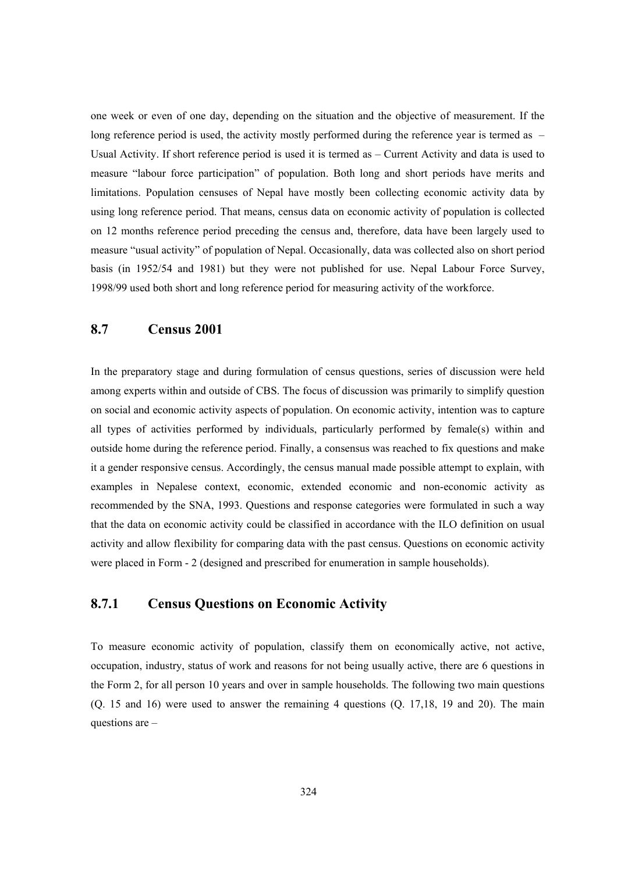one week or even of one day, depending on the situation and the objective of measurement. If the long reference period is used, the activity mostly performed during the reference year is termed as – Usual Activity. If short reference period is used it is termed as – Current Activity and data is used to measure "labour force participation" of population. Both long and short periods have merits and limitations. Population censuses of Nepal have mostly been collecting economic activity data by using long reference period. That means, census data on economic activity of population is collected on 12 months reference period preceding the census and, therefore, data have been largely used to measure "usual activity" of population of Nepal. Occasionally, data was collected also on short period basis (in 1952/54 and 1981) but they were not published for use. Nepal Labour Force Survey, 1998/99 used both short and long reference period for measuring activity of the workforce.

# **8.7 Census 2001**

In the preparatory stage and during formulation of census questions, series of discussion were held among experts within and outside of CBS. The focus of discussion was primarily to simplify question on social and economic activity aspects of population. On economic activity, intention was to capture all types of activities performed by individuals, particularly performed by female(s) within and outside home during the reference period. Finally, a consensus was reached to fix questions and make it a gender responsive census. Accordingly, the census manual made possible attempt to explain, with examples in Nepalese context, economic, extended economic and non-economic activity as recommended by the SNA, 1993. Questions and response categories were formulated in such a way that the data on economic activity could be classified in accordance with the ILO definition on usual activity and allow flexibility for comparing data with the past census. Questions on economic activity were placed in Form - 2 (designed and prescribed for enumeration in sample households).

# **8.7.1 Census Questions on Economic Activity**

To measure economic activity of population, classify them on economically active, not active, occupation, industry, status of work and reasons for not being usually active, there are 6 questions in the Form 2, for all person 10 years and over in sample households. The following two main questions (Q. 15 and 16) were used to answer the remaining 4 questions (Q. 17,18, 19 and 20). The main questions are –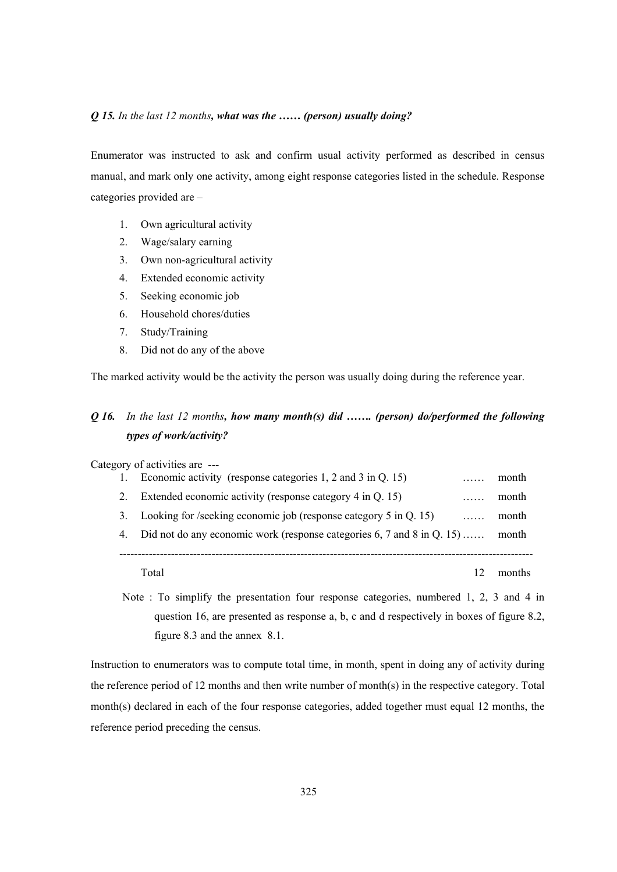#### *Q 15. In the last 12 months, what was the …… (person) usually doing?*

Enumerator was instructed to ask and confirm usual activity performed as described in census manual, and mark only one activity, among eight response categories listed in the schedule. Response categories provided are –

- 1. Own agricultural activity
- 2. Wage/salary earning
- 3. Own non-agricultural activity
- 4. Extended economic activity
- 5. Seeking economic job
- 6. Household chores/duties
- 7. Study/Training
- 8. Did not do any of the above

The marked activity would be the activity the person was usually doing during the reference year.

# *Q 16. In the last 12 months, how many month(s) did ……. (person) do/performed the following types of work/activity?*

Category of activities are ---

|    | Economic activity (response categories $1, 2$ and $3$ in Q. 15)            | month  |
|----|----------------------------------------------------------------------------|--------|
| 2. | Extended economic activity (response category 4 in Q. 15)<br>.             | month  |
| 3. | Looking for /seeking economic job (response category $5$ in Q. 15)<br>.    | month  |
| 4. | Did not do any economic work (response categories $6, 7$ and $8$ in Q. 15) | month  |
|    |                                                                            |        |
|    | Total                                                                      | months |

Note : To simplify the presentation four response categories, numbered 1, 2, 3 and 4 in question 16, are presented as response a, b, c and d respectively in boxes of figure 8.2, figure 8.3 and the annex 8.1.

Instruction to enumerators was to compute total time, in month, spent in doing any of activity during the reference period of 12 months and then write number of month(s) in the respective category. Total month(s) declared in each of the four response categories, added together must equal 12 months, the reference period preceding the census.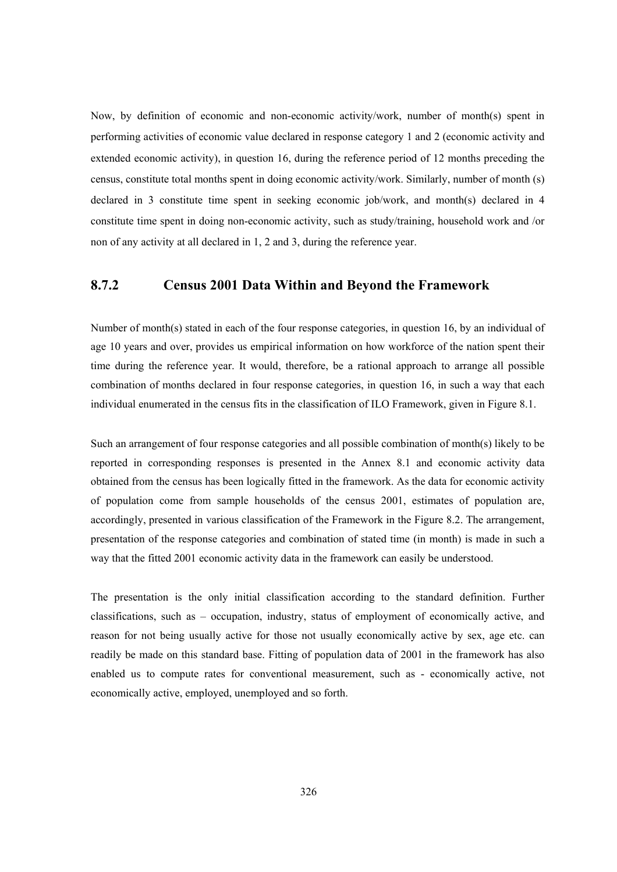Now, by definition of economic and non-economic activity/work, number of month(s) spent in performing activities of economic value declared in response category 1 and 2 (economic activity and extended economic activity), in question 16, during the reference period of 12 months preceding the census, constitute total months spent in doing economic activity/work. Similarly, number of month (s) declared in 3 constitute time spent in seeking economic job/work, and month(s) declared in 4 constitute time spent in doing non-economic activity, such as study/training, household work and /or non of any activity at all declared in 1, 2 and 3, during the reference year.

# **8.7.2 Census 2001 Data Within and Beyond the Framework**

Number of month(s) stated in each of the four response categories, in question 16, by an individual of age 10 years and over, provides us empirical information on how workforce of the nation spent their time during the reference year. It would, therefore, be a rational approach to arrange all possible combination of months declared in four response categories, in question 16, in such a way that each individual enumerated in the census fits in the classification of ILO Framework, given in Figure 8.1.

Such an arrangement of four response categories and all possible combination of month(s) likely to be reported in corresponding responses is presented in the Annex 8.1 and economic activity data obtained from the census has been logically fitted in the framework. As the data for economic activity of population come from sample households of the census 2001, estimates of population are, accordingly, presented in various classification of the Framework in the Figure 8.2. The arrangement, presentation of the response categories and combination of stated time (in month) is made in such a way that the fitted 2001 economic activity data in the framework can easily be understood.

The presentation is the only initial classification according to the standard definition. Further classifications, such as – occupation, industry, status of employment of economically active, and reason for not being usually active for those not usually economically active by sex, age etc. can readily be made on this standard base. Fitting of population data of 2001 in the framework has also enabled us to compute rates for conventional measurement, such as - economically active, not economically active, employed, unemployed and so forth.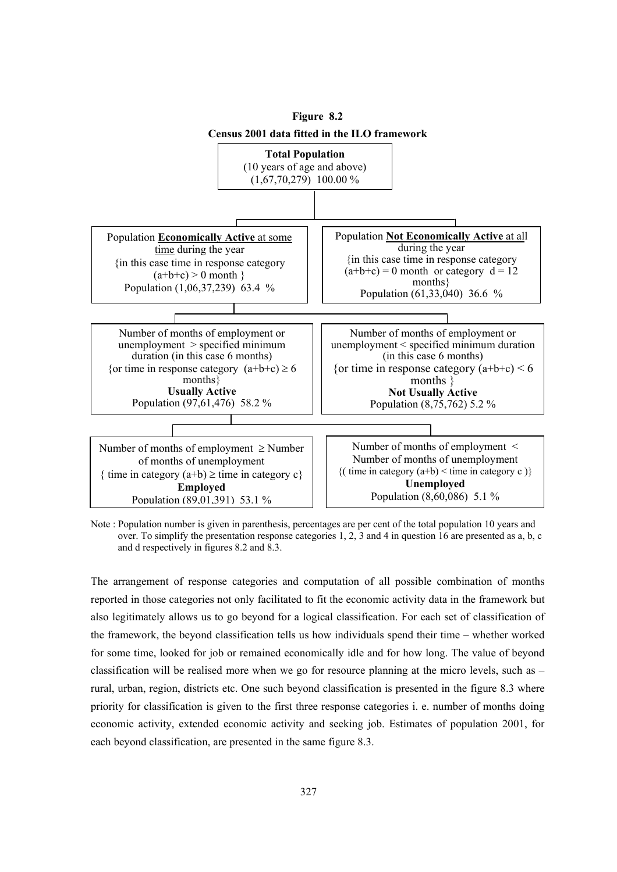

Note : Population number is given in parenthesis, percentages are per cent of the total population 10 years and over. To simplify the presentation response categories 1, 2, 3 and 4 in question 16 are presented as a, b, c and d respectively in figures 8.2 and 8.3.

The arrangement of response categories and computation of all possible combination of months reported in those categories not only facilitated to fit the economic activity data in the framework but also legitimately allows us to go beyond for a logical classification. For each set of classification of the framework, the beyond classification tells us how individuals spend their time – whether worked for some time, looked for job or remained economically idle and for how long. The value of beyond classification will be realised more when we go for resource planning at the micro levels, such as – rural, urban, region, districts etc. One such beyond classification is presented in the figure 8.3 where priority for classification is given to the first three response categories i. e. number of months doing economic activity, extended economic activity and seeking job. Estimates of population 2001, for each beyond classification, are presented in the same figure 8.3.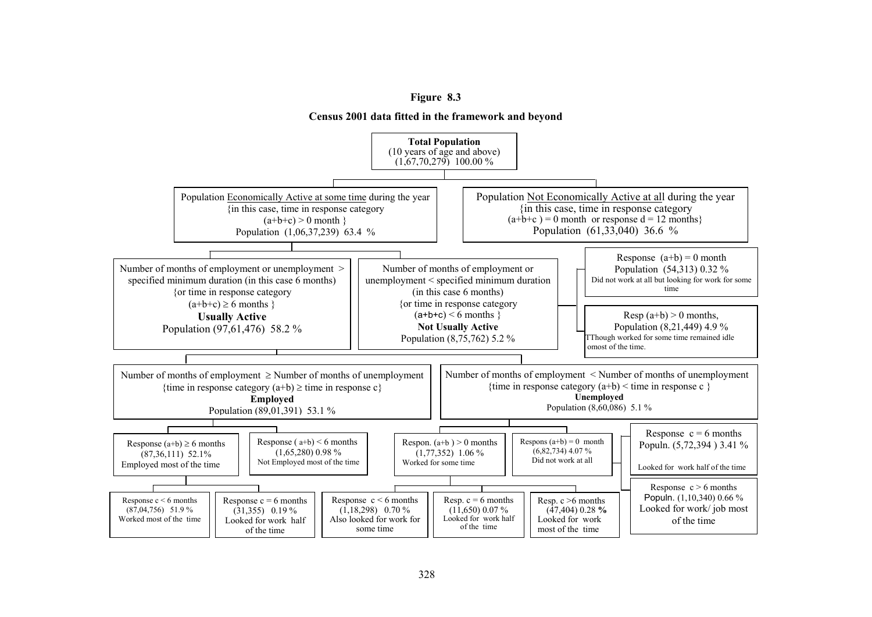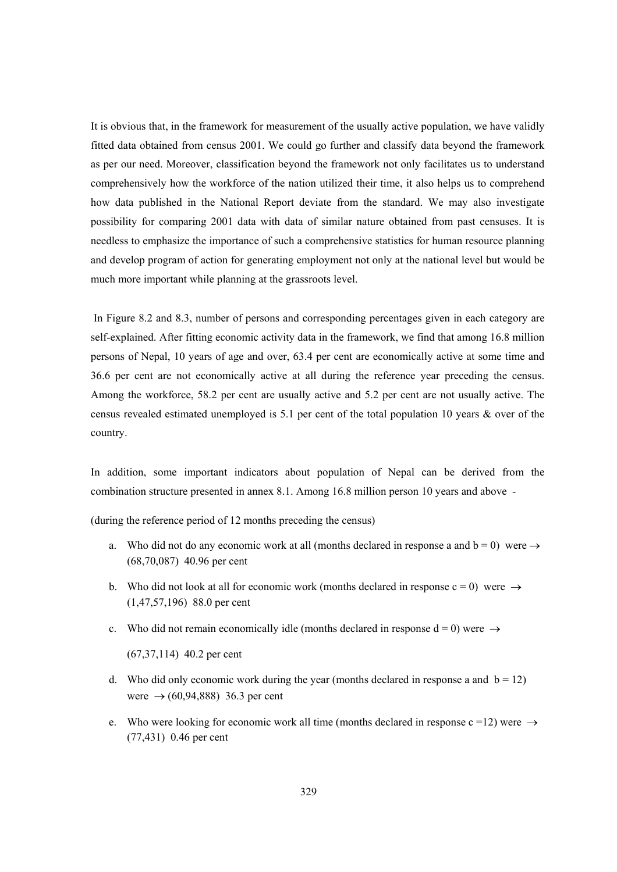It is obvious that, in the framework for measurement of the usually active population, we have validly fitted data obtained from census 2001. We could go further and classify data beyond the framework as per our need. Moreover, classification beyond the framework not only facilitates us to understand comprehensively how the workforce of the nation utilized their time, it also helps us to comprehend how data published in the National Report deviate from the standard. We may also investigate possibility for comparing 2001 data with data of similar nature obtained from past censuses. It is needless to emphasize the importance of such a comprehensive statistics for human resource planning and develop program of action for generating employment not only at the national level but would be much more important while planning at the grassroots level.

 In Figure 8.2 and 8.3, number of persons and corresponding percentages given in each category are self-explained. After fitting economic activity data in the framework, we find that among 16.8 million persons of Nepal, 10 years of age and over, 63.4 per cent are economically active at some time and 36.6 per cent are not economically active at all during the reference year preceding the census. Among the workforce, 58.2 per cent are usually active and 5.2 per cent are not usually active. The census revealed estimated unemployed is 5.1 per cent of the total population 10 years & over of the country.

In addition, some important indicators about population of Nepal can be derived from the combination structure presented in annex 8.1. Among 16.8 million person 10 years and above -

(during the reference period of 12 months preceding the census)

- a. Who did not do any economic work at all (months declared in response a and  $b = 0$ ) were  $\rightarrow$ (68,70,087) 40.96 per cent
- b. Who did not look at all for economic work (months declared in response  $c = 0$ ) were  $\rightarrow$ (1,47,57,196) 88.0 per cent
- c. Who did not remain economically idle (months declared in response  $d = 0$ ) were  $\rightarrow$

(67,37,114) 40.2 per cent

- d. Who did only economic work during the year (months declared in response a and  $b = 12$ ) were  $\rightarrow$  (60,94,888) 36.3 per cent
- e. Who were looking for economic work all time (months declared in response c =12) were  $\rightarrow$ (77,431) 0.46 per cent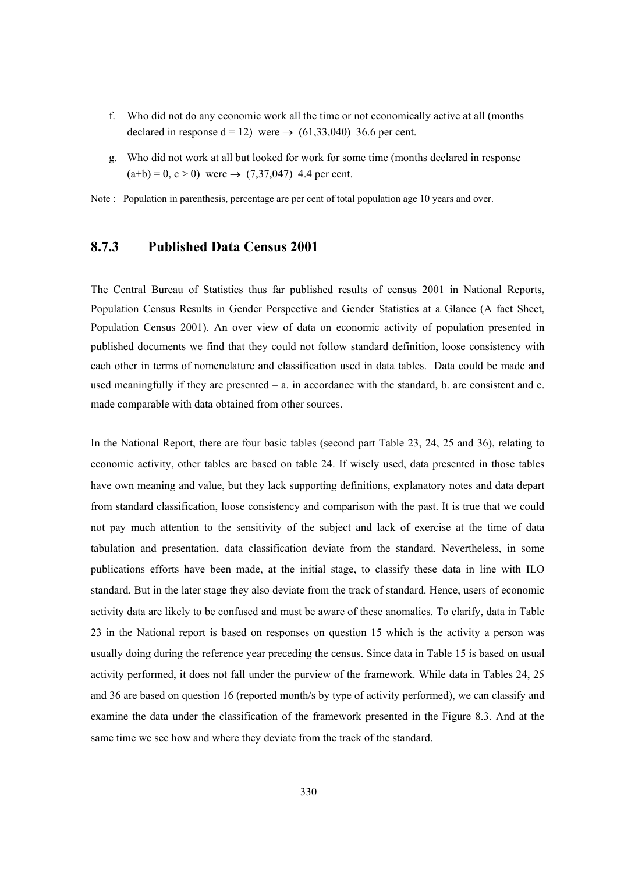- f. Who did not do any economic work all the time or not economically active at all (months declared in response  $d = 12$ ) were  $\rightarrow$  (61,33,040) 36.6 per cent.
- g. Who did not work at all but looked for work for some time (months declared in response  $(a+b) = 0, c > 0$  were  $\rightarrow (7,37,047)$  4.4 per cent.

Note : Population in parenthesis, percentage are per cent of total population age 10 years and over.

# **8.7.3 Published Data Census 2001**

The Central Bureau of Statistics thus far published results of census 2001 in National Reports, Population Census Results in Gender Perspective and Gender Statistics at a Glance (A fact Sheet, Population Census 2001). An over view of data on economic activity of population presented in published documents we find that they could not follow standard definition, loose consistency with each other in terms of nomenclature and classification used in data tables. Data could be made and used meaningfully if they are presented  $-$  a. in accordance with the standard, b. are consistent and c. made comparable with data obtained from other sources.

In the National Report, there are four basic tables (second part Table 23, 24, 25 and 36), relating to economic activity, other tables are based on table 24. If wisely used, data presented in those tables have own meaning and value, but they lack supporting definitions, explanatory notes and data depart from standard classification, loose consistency and comparison with the past. It is true that we could not pay much attention to the sensitivity of the subject and lack of exercise at the time of data tabulation and presentation, data classification deviate from the standard. Nevertheless, in some publications efforts have been made, at the initial stage, to classify these data in line with ILO standard. But in the later stage they also deviate from the track of standard. Hence, users of economic activity data are likely to be confused and must be aware of these anomalies. To clarify, data in Table 23 in the National report is based on responses on question 15 which is the activity a person was usually doing during the reference year preceding the census. Since data in Table 15 is based on usual activity performed, it does not fall under the purview of the framework. While data in Tables 24, 25 and 36 are based on question 16 (reported month/s by type of activity performed), we can classify and examine the data under the classification of the framework presented in the Figure 8.3. And at the same time we see how and where they deviate from the track of the standard.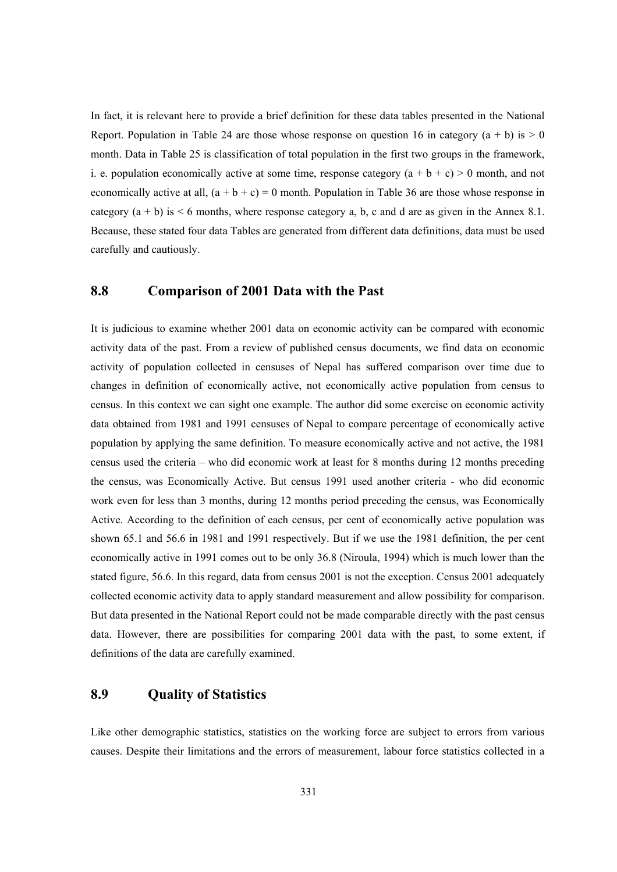In fact, it is relevant here to provide a brief definition for these data tables presented in the National Report. Population in Table 24 are those whose response on question 16 in category  $(a + b)$  is  $> 0$ month. Data in Table 25 is classification of total population in the first two groups in the framework, i. e. population economically active at some time, response category  $(a + b + c) > 0$  month, and not economically active at all,  $(a + b + c) = 0$  month. Population in Table 36 are those whose response in category  $(a + b)$  is  $\lt 6$  months, where response category a, b, c and d are as given in the Annex 8.1. Because, these stated four data Tables are generated from different data definitions, data must be used carefully and cautiously.

# **8.8 Comparison of 2001 Data with the Past**

It is judicious to examine whether 2001 data on economic activity can be compared with economic activity data of the past. From a review of published census documents, we find data on economic activity of population collected in censuses of Nepal has suffered comparison over time due to changes in definition of economically active, not economically active population from census to census. In this context we can sight one example. The author did some exercise on economic activity data obtained from 1981 and 1991 censuses of Nepal to compare percentage of economically active population by applying the same definition. To measure economically active and not active, the 1981 census used the criteria – who did economic work at least for 8 months during 12 months preceding the census, was Economically Active. But census 1991 used another criteria - who did economic work even for less than 3 months, during 12 months period preceding the census, was Economically Active. According to the definition of each census, per cent of economically active population was shown 65.1 and 56.6 in 1981 and 1991 respectively. But if we use the 1981 definition, the per cent economically active in 1991 comes out to be only 36.8 (Niroula, 1994) which is much lower than the stated figure, 56.6. In this regard, data from census 2001 is not the exception. Census 2001 adequately collected economic activity data to apply standard measurement and allow possibility for comparison. But data presented in the National Report could not be made comparable directly with the past census data. However, there are possibilities for comparing 2001 data with the past, to some extent, if definitions of the data are carefully examined.

# **8.9 Quality of Statistics**

Like other demographic statistics, statistics on the working force are subject to errors from various causes. Despite their limitations and the errors of measurement, labour force statistics collected in a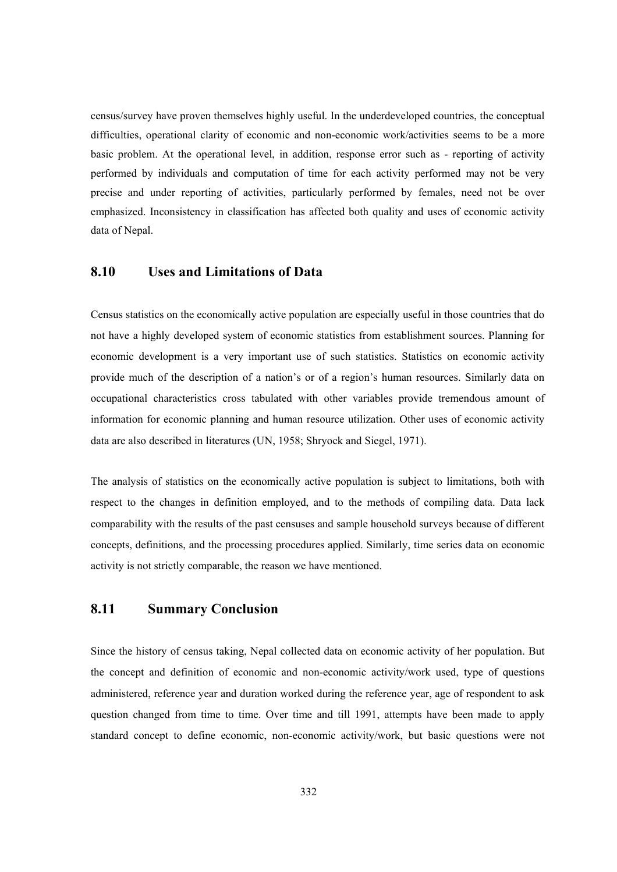census/survey have proven themselves highly useful. In the underdeveloped countries, the conceptual difficulties, operational clarity of economic and non-economic work/activities seems to be a more basic problem. At the operational level, in addition, response error such as - reporting of activity performed by individuals and computation of time for each activity performed may not be very precise and under reporting of activities, particularly performed by females, need not be over emphasized. Inconsistency in classification has affected both quality and uses of economic activity data of Nepal.

# **8.10 Uses and Limitations of Data**

Census statistics on the economically active population are especially useful in those countries that do not have a highly developed system of economic statistics from establishment sources. Planning for economic development is a very important use of such statistics. Statistics on economic activity provide much of the description of a nation's or of a region's human resources. Similarly data on occupational characteristics cross tabulated with other variables provide tremendous amount of information for economic planning and human resource utilization. Other uses of economic activity data are also described in literatures (UN, 1958; Shryock and Siegel, 1971).

The analysis of statistics on the economically active population is subject to limitations, both with respect to the changes in definition employed, and to the methods of compiling data. Data lack comparability with the results of the past censuses and sample household surveys because of different concepts, definitions, and the processing procedures applied. Similarly, time series data on economic activity is not strictly comparable, the reason we have mentioned.

# **8.11 Summary Conclusion**

Since the history of census taking, Nepal collected data on economic activity of her population. But the concept and definition of economic and non-economic activity/work used, type of questions administered, reference year and duration worked during the reference year, age of respondent to ask question changed from time to time. Over time and till 1991, attempts have been made to apply standard concept to define economic, non-economic activity/work, but basic questions were not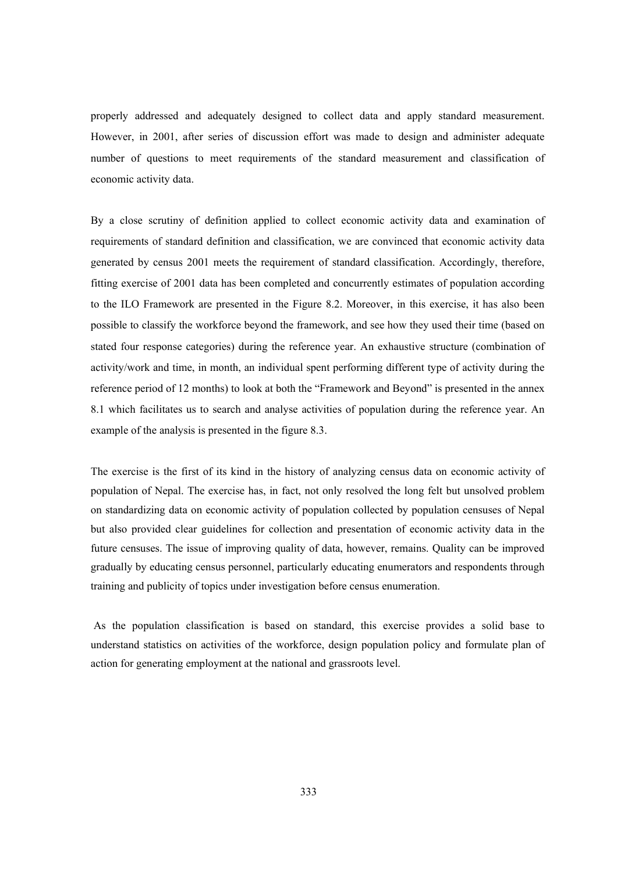properly addressed and adequately designed to collect data and apply standard measurement. However, in 2001, after series of discussion effort was made to design and administer adequate number of questions to meet requirements of the standard measurement and classification of economic activity data.

By a close scrutiny of definition applied to collect economic activity data and examination of requirements of standard definition and classification, we are convinced that economic activity data generated by census 2001 meets the requirement of standard classification. Accordingly, therefore, fitting exercise of 2001 data has been completed and concurrently estimates of population according to the ILO Framework are presented in the Figure 8.2. Moreover, in this exercise, it has also been possible to classify the workforce beyond the framework, and see how they used their time (based on stated four response categories) during the reference year. An exhaustive structure (combination of activity/work and time, in month, an individual spent performing different type of activity during the reference period of 12 months) to look at both the "Framework and Beyond" is presented in the annex 8.1 which facilitates us to search and analyse activities of population during the reference year. An example of the analysis is presented in the figure 8.3.

The exercise is the first of its kind in the history of analyzing census data on economic activity of population of Nepal. The exercise has, in fact, not only resolved the long felt but unsolved problem on standardizing data on economic activity of population collected by population censuses of Nepal but also provided clear guidelines for collection and presentation of economic activity data in the future censuses. The issue of improving quality of data, however, remains. Quality can be improved gradually by educating census personnel, particularly educating enumerators and respondents through training and publicity of topics under investigation before census enumeration.

 As the population classification is based on standard, this exercise provides a solid base to understand statistics on activities of the workforce, design population policy and formulate plan of action for generating employment at the national and grassroots level.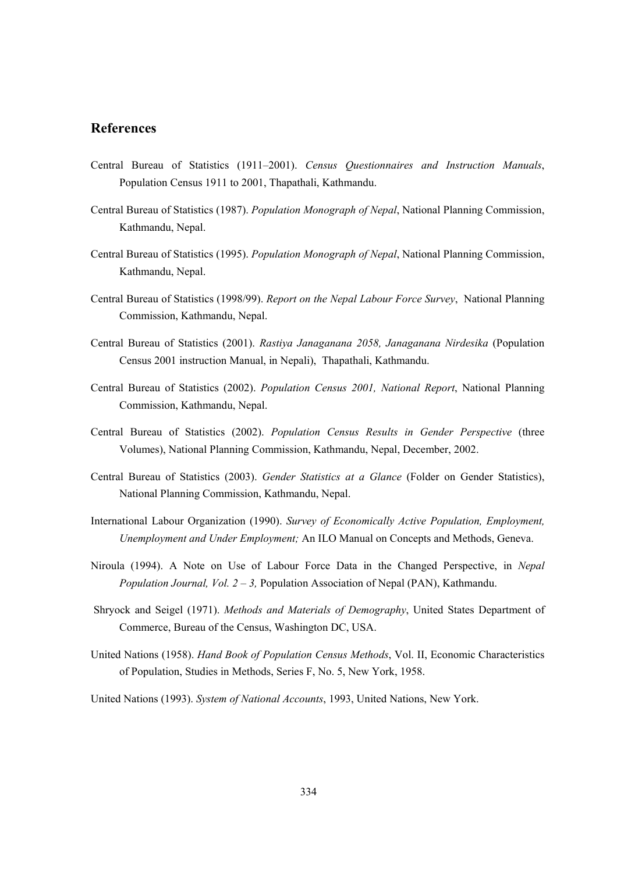# **References**

- Central Bureau of Statistics (1911–2001). *Census Questionnaires and Instruction Manuals*, Population Census 1911 to 2001, Thapathali, Kathmandu.
- Central Bureau of Statistics (1987). *Population Monograph of Nepal*, National Planning Commission, Kathmandu, Nepal.
- Central Bureau of Statistics (1995). *Population Monograph of Nepal*, National Planning Commission, Kathmandu, Nepal.
- Central Bureau of Statistics (1998/99). *Report on the Nepal Labour Force Survey*, National Planning Commission, Kathmandu, Nepal.
- Central Bureau of Statistics (2001). *Rastiya Janaganana 2058, Janaganana Nirdesika* (Population Census 2001 instruction Manual, in Nepali), Thapathali, Kathmandu.
- Central Bureau of Statistics (2002). *Population Census 2001, National Report*, National Planning Commission, Kathmandu, Nepal.
- Central Bureau of Statistics (2002). *Population Census Results in Gender Perspective* (three Volumes), National Planning Commission, Kathmandu, Nepal, December, 2002.
- Central Bureau of Statistics (2003). *Gender Statistics at a Glance* (Folder on Gender Statistics), National Planning Commission, Kathmandu, Nepal.
- International Labour Organization (1990). *Survey of Economically Active Population, Employment, Unemployment and Under Employment;* An ILO Manual on Concepts and Methods, Geneva.
- Niroula (1994). A Note on Use of Labour Force Data in the Changed Perspective, in *Nepal Population Journal, Vol. 2 – 3,* Population Association of Nepal (PAN), Kathmandu.
- Shryock and Seigel (1971). *Methods and Materials of Demography*, United States Department of Commerce, Bureau of the Census, Washington DC, USA.
- United Nations (1958). *Hand Book of Population Census Methods*, Vol. II, Economic Characteristics of Population, Studies in Methods, Series F, No. 5, New York, 1958.
- United Nations (1993). *System of National Accounts*, 1993, United Nations, New York.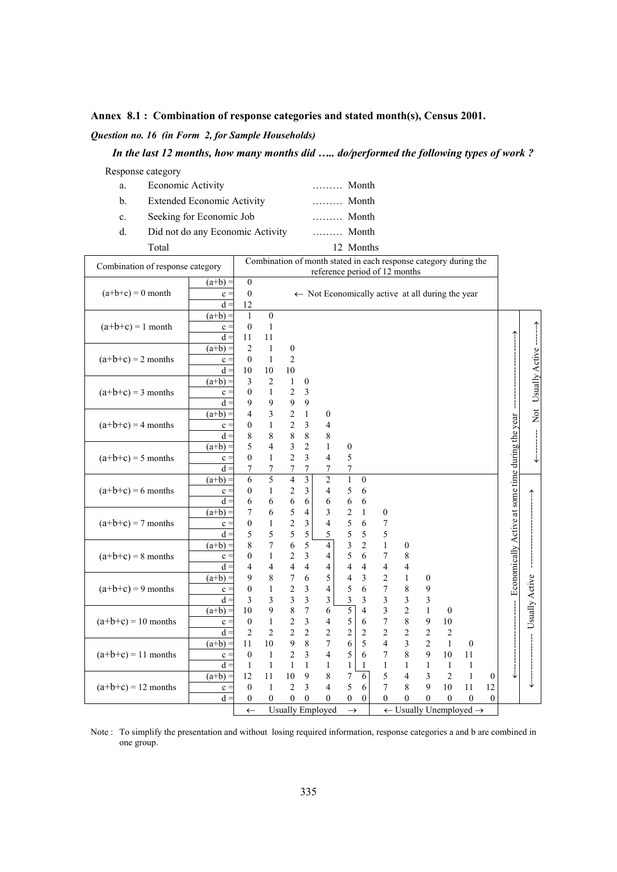#### **Annex 8.1 : Combination of response categories and stated month(s), Census 2001.**

### *Question no. 16 (in Form 2, for Sample Households)*

### *In the last 12 months, how many months did ….. do/performed the following types of work ?*

Response category

- a. Economic Activity ……… Month
- b. Extended Economic Activity ……… Month
- c. Seeking for Economic Job ……… Month
- d. Did not do any Economic Activity ……… Month Total 12 Months

| Combination of response category |           |                  |                         |                         |                           | Combination of month stated in each response category during the<br>reference period of 12 months |                                                                |                          |                         |                          |                         |                  |                  |                  |                                                    |                          |
|----------------------------------|-----------|------------------|-------------------------|-------------------------|---------------------------|---------------------------------------------------------------------------------------------------|----------------------------------------------------------------|--------------------------|-------------------------|--------------------------|-------------------------|------------------|------------------|------------------|----------------------------------------------------|--------------------------|
|                                  | $(a+b) =$ | $\overline{0}$   |                         |                         |                           |                                                                                                   |                                                                |                          |                         |                          |                         |                  |                  |                  |                                                    |                          |
| $(a+b+c) = 0$ month              | $c =$     | $\boldsymbol{0}$ |                         |                         |                           | $\leftarrow$ Not Economically active at all during the year                                       |                                                                |                          |                         |                          |                         |                  |                  |                  |                                                    |                          |
|                                  | $d =$     | 12               |                         |                         |                           |                                                                                                   |                                                                |                          |                         |                          |                         |                  |                  |                  |                                                    |                          |
|                                  | $(a+b) =$ | $\mathbf{1}$     | $\boldsymbol{0}$        |                         |                           |                                                                                                   |                                                                |                          |                         |                          |                         |                  |                  |                  |                                                    |                          |
| $(a+b+c) = 1$ month              | $c =$     | $\overline{0}$   | $\mathbf{1}$            |                         |                           |                                                                                                   |                                                                |                          |                         |                          |                         |                  |                  |                  |                                                    | Not Usually Active ----- |
|                                  | $d =$     | 11               | 11                      |                         |                           |                                                                                                   |                                                                |                          |                         |                          |                         |                  |                  |                  |                                                    |                          |
|                                  | $(a+b) =$ | $\overline{2}$   | $\mathbf{1}$            | $\boldsymbol{0}$        |                           |                                                                                                   |                                                                |                          |                         |                          |                         |                  |                  |                  |                                                    |                          |
| $(a+b+c) = 2$ months             | $c =$     | $\overline{0}$   | $\mathbf{1}$            | $\overline{c}$          |                           |                                                                                                   |                                                                |                          |                         |                          |                         |                  |                  |                  |                                                    |                          |
|                                  | $d =$     | 10               | 10                      | 10                      |                           |                                                                                                   |                                                                |                          |                         |                          |                         |                  |                  |                  |                                                    |                          |
|                                  | $(a+b) =$ | 3                | $\overline{2}$          | $\mathbf{1}$            | $\boldsymbol{0}$          |                                                                                                   |                                                                |                          |                         |                          |                         |                  |                  |                  |                                                    |                          |
| $(a+b+c) = 3$ months             | $c =$     | $\boldsymbol{0}$ | $\mathbf{1}$            | $\overline{c}$          | 3                         |                                                                                                   |                                                                |                          |                         |                          |                         |                  |                  |                  |                                                    |                          |
|                                  | $d =$     | 9                | 9                       | 9                       | 9                         |                                                                                                   |                                                                |                          |                         |                          |                         |                  |                  |                  |                                                    |                          |
|                                  | $(a+b) =$ | 4                | $\mathfrak{Z}$          | $\overline{c}$          | $\,1$                     | $\boldsymbol{0}$                                                                                  |                                                                |                          |                         |                          |                         |                  |                  |                  |                                                    |                          |
| $(a+b+c) = 4$ months             | $c =$     | $\boldsymbol{0}$ | $\mathbf{1}$            | $\overline{c}$          | 3                         | 4                                                                                                 |                                                                |                          |                         |                          |                         |                  |                  |                  |                                                    |                          |
|                                  | $d =$     | 8                | 8                       | 8                       | 8                         | 8                                                                                                 |                                                                |                          |                         |                          |                         |                  |                  |                  |                                                    |                          |
|                                  | $(a+b) =$ | 5                | 4                       | 3                       | $\overline{c}$            | $\mathbf{1}$                                                                                      | $\boldsymbol{0}$                                               |                          |                         |                          |                         |                  |                  |                  |                                                    |                          |
| $(a+b+c) = 5$ months             | $c =$     | $\overline{0}$   | $\mathbf{1}$            | $\overline{2}$          | 3                         | 4                                                                                                 | 5                                                              |                          |                         |                          |                         |                  |                  |                  |                                                    |                          |
|                                  | $d =$     | 7                | $\boldsymbol{7}$        | 7                       | $\overline{7}$            | 7                                                                                                 | $\boldsymbol{7}$                                               |                          |                         |                          |                         |                  |                  |                  |                                                    |                          |
|                                  | $(a+b) =$ | 6                | $\overline{5}$          | $\overline{4}$          | $\overline{\overline{3}}$ | $\overline{2}$                                                                                    | $\overline{1}$                                                 | $\boldsymbol{0}$         |                         |                          |                         |                  |                  |                  | - Economically Active at some time during the year |                          |
| $(a+b+c) = 6$ months             | $c =$     | 0                | $\mathbf{1}$            | $\overline{\mathbf{c}}$ | 3                         | 4                                                                                                 | $\sqrt{5}$                                                     | 6                        |                         |                          |                         |                  |                  |                  |                                                    |                          |
|                                  | $d =$     | 6                | 6                       | 6                       | $\boldsymbol{6}$          | 6                                                                                                 | 6                                                              | 6                        |                         |                          |                         |                  |                  |                  |                                                    |                          |
|                                  | $(a+b) =$ | 7                | $\sqrt{6}$              | 5                       | 4                         | 3                                                                                                 | $\overline{c}$                                                 | $\,1$                    | $\boldsymbol{0}$        |                          |                         |                  |                  |                  |                                                    |                          |
| $(a+b+c) = 7$ months             | $c =$     | $\boldsymbol{0}$ | $\mathbf{1}$            | $rac{2}{5}$             | 3                         | $\overline{4}$                                                                                    | 5                                                              | 6                        | $\boldsymbol{7}$        |                          |                         |                  |                  |                  |                                                    |                          |
|                                  | $d =$     | 5                | 5                       |                         | 5                         | 5                                                                                                 | 5                                                              | 5                        | 5                       |                          |                         |                  |                  |                  |                                                    |                          |
|                                  | $(a+b) =$ | 8                | $\overline{7}$          | 6                       | 5                         | $\overline{4}$                                                                                    | 3                                                              | $\overline{2}$           | $\mathbf{1}$            | $\boldsymbol{0}$         |                         |                  |                  |                  |                                                    |                          |
| $(a+b+c) = 8$ months             | $c =$     | $\overline{0}$   | $\,1$                   | $\overline{c}$          | $\overline{\mathbf{3}}$   | 4                                                                                                 | 5                                                              | 6                        | $\overline{7}$          | $\,$ 8 $\,$              |                         |                  |                  |                  |                                                    |                          |
|                                  | $d =$     | 4                | $\overline{4}$          | 4                       | 4                         | 4                                                                                                 | $\overline{4}$                                                 | $\overline{\mathcal{L}}$ | $\overline{\mathbf{4}}$ | $\overline{4}$           |                         |                  |                  |                  |                                                    |                          |
|                                  | $(a+b) =$ | 9                | 8                       | 7                       | 6                         | 5                                                                                                 | 4                                                              | 3                        | $\overline{2}$          | $\mathbf{1}$             | $\boldsymbol{0}$        |                  |                  |                  |                                                    | Usually Active           |
| $(a+b+c) = 9$ months             | $c =$     | $\mathbf{0}$     | $\mathbf{1}$            | $\overline{c}$          | 3                         | 4                                                                                                 | 5                                                              | 6                        | $\overline{7}$          | 8                        | 9                       |                  |                  |                  |                                                    |                          |
|                                  | $d =$     | 3                | $\overline{\mathbf{3}}$ | 3                       | $\overline{\mathbf{3}}$   | 3                                                                                                 | 3                                                              | 3                        | $\overline{\mathbf{3}}$ | $\overline{\mathbf{3}}$  | $\overline{\mathbf{3}}$ |                  |                  |                  |                                                    |                          |
| $(a+b+c) = 10$ months            | $(a+b) =$ | 10               | $\boldsymbol{9}$        | 8                       | 7                         | 6                                                                                                 | 5                                                              | $\overline{4}$           | $\overline{\mathbf{3}}$ | $\sqrt{2}$               | $\mathbf{1}$            | $\boldsymbol{0}$ |                  |                  |                                                    |                          |
|                                  | $c =$     | 0                | $\mathbf{1}$            | $\overline{\mathbf{c}}$ | 3                         | 4                                                                                                 | 5                                                              | 6                        | $\boldsymbol{7}$        | $\,$ 8 $\,$              | 9                       | $10\,$           |                  |                  |                                                    |                          |
|                                  | $d =$     | 2                | $\overline{2}$          | $\overline{c}$          | 2                         | $\overline{c}$                                                                                    | $\overline{c}$                                                 | $\overline{c}$           | $\overline{c}$          | $\overline{c}$           | $\overline{c}$          | $\overline{c}$   |                  |                  |                                                    |                          |
|                                  | $(a+b) =$ | 11               | 10                      | 9                       | 8                         | $\overline{7}$                                                                                    | 6                                                              | 5                        | $\overline{4}$          | $\overline{\mathbf{3}}$  | $\overline{2}$          | $\mathbf{1}$     | $\boldsymbol{0}$ |                  |                                                    |                          |
| $(a+b+c) = 11$ months            | $c =$     | $\mathbf{0}$     | $\mathbf{1}$            | $\overline{c}$          | 3                         | $\overline{\mathcal{L}}$                                                                          | 5                                                              | 6                        | $\overline{7}$          | $\,$ 8 $\,$              | 9                       | 10               | 11               |                  |                                                    |                          |
|                                  | $d =$     | $\mathbf{1}$     | $\mathbf{1}$            | 1                       | 1                         | $\mathbf{1}$                                                                                      | 1                                                              | $\mathbf{1}$             | $\mathbf{1}$            | $\mathbf{1}$             | $\mathbf{1}$            | $\mathbf{1}$     | $\mathbf{1}$     |                  |                                                    |                          |
|                                  | $(a+b) =$ | 12               | 11                      | 10                      | 9                         | 8                                                                                                 | 7                                                              | $\overline{6}$           | 5                       | $\overline{\mathcal{L}}$ | 3                       | $\overline{2}$   | $\mathbf{1}$     | $\boldsymbol{0}$ |                                                    |                          |
| $(a+b+c) = 12$ months            | $c =$     | $\overline{0}$   | $\mathbf{1}$            | $\overline{2}$          | 3                         | 4                                                                                                 | 5                                                              | 6                        | $\overline{7}$          | 8                        | 9                       | 10               | 11               | 12               |                                                    |                          |
|                                  | $d =$     | $\boldsymbol{0}$ | $\mathbf{0}$            | $\theta$                | $\theta$                  | $\theta$                                                                                          | $\boldsymbol{0}$                                               | $\boldsymbol{0}$         | $\theta$                | $\theta$                 | $\overline{0}$          | $\mathbf{0}$     | $\mathbf{0}$     | $\mathbf{0}$     |                                                    |                          |
|                                  |           | $\leftarrow$     |                         |                         |                           | <b>Usually Employed</b>                                                                           | $\leftarrow$ Usually Unemployed $\rightarrow$<br>$\rightarrow$ |                          |                         |                          |                         |                  |                  |                  |                                                    |                          |

Note : To simplify the presentation and without losing required information, response categories a and b are combined in one group.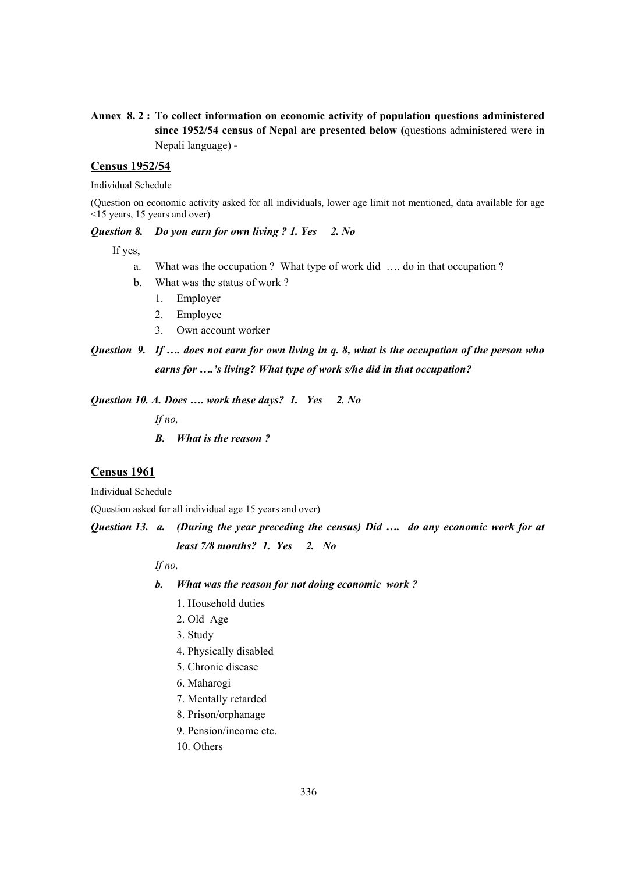## **Annex 8. 2 : To collect information on economic activity of population questions administered since 1952/54 census of Nepal are presented below (**questions administered were in Nepali language) **-**

### **Census 1952/54**

Individual Schedule

(Question on economic activity asked for all individuals, lower age limit not mentioned, data available for age <15 years, 15 years and over)

#### *Question 8. Do you earn for own living ? 1. Yes 2. No*

If yes,

- a. What was the occupation ? What type of work did …. do in that occupation ?
- b. What was the status of work ?
	- 1. Employer
	- 2. Employee
	- 3. Own account worker

# *Question 9. If …. does not earn for own living in q. 8, what is the occupation of the person who earns for ….'s living? What type of work s/he did in that occupation?*

*Question 10. A. Does …. work these days? 1. Yes 2. No* 

 *If no,* 

 *B. What is the reason ?* 

### **Census 1961**

Individual Schedule

(Question asked for all individual age 15 years and over)

*Question 13. a. (During the year preceding the census) Did …. do any economic work for at* 

*least 7/8 months? 1. Yes 2. No* 

 *If no,* 

- *b. What was the reason for not doing economic work ?* 
	- 1. Household duties
	- 2. Old Age
	- 3. Study
	- 4. Physically disabled
	- 5. Chronic disease
	- 6. Maharogi
	- 7. Mentally retarded
	- 8. Prison/orphanage
	- 9. Pension/income etc.
	- 10. Others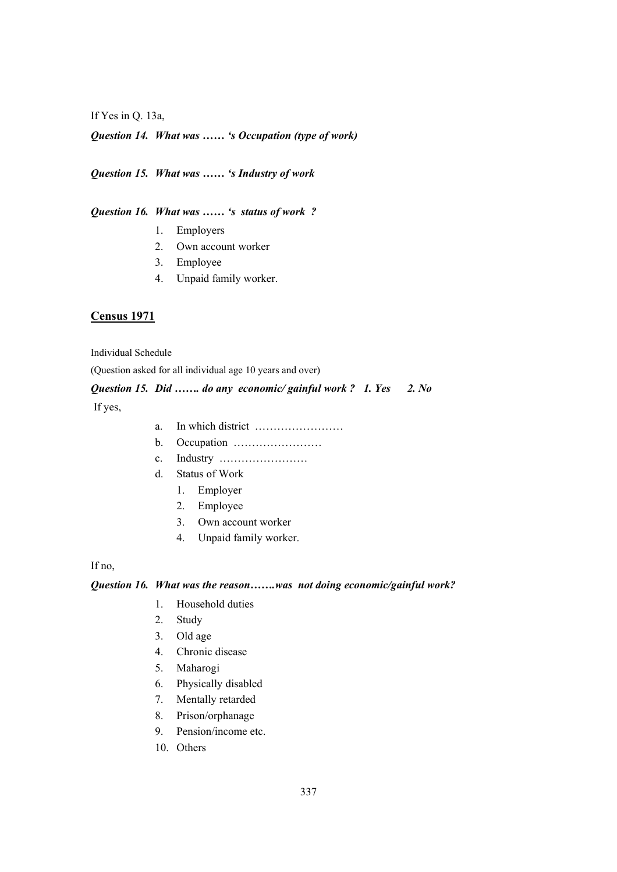If Yes in Q. 13a,

*Question 14. What was …… 's Occupation (type of work)* 

# *Question 15. What was …… 's Industry of work*

*Question 16. What was …… 's status of work ?* 

- 1. Employers
- 2. Own account worker
- 3. Employee
- 4. Unpaid family worker.

## **Census 1971**

Individual Schedule

(Question asked for all individual age 10 years and over)

# *Question 15. Did ……. do any economic/ gainful work ? 1. Yes 2. No*

If yes,

- a. In which district ……………………
- b. Occupation ……………………
- c. Industry ……………………
- d. Status of Work
	- 1. Employer
	- 2. Employee
	- 3. Own account worker
	- 4. Unpaid family worker.

If no,

#### *Question 16. What was the reason…….was not doing economic/gainful work?*

- 1. Household duties
- 2. Study
- 3. Old age
- 4. Chronic disease
- 5. Maharogi
- 6. Physically disabled
- 7. Mentally retarded
- 8. Prison/orphanage
- 9. Pension/income etc.
- 10. Others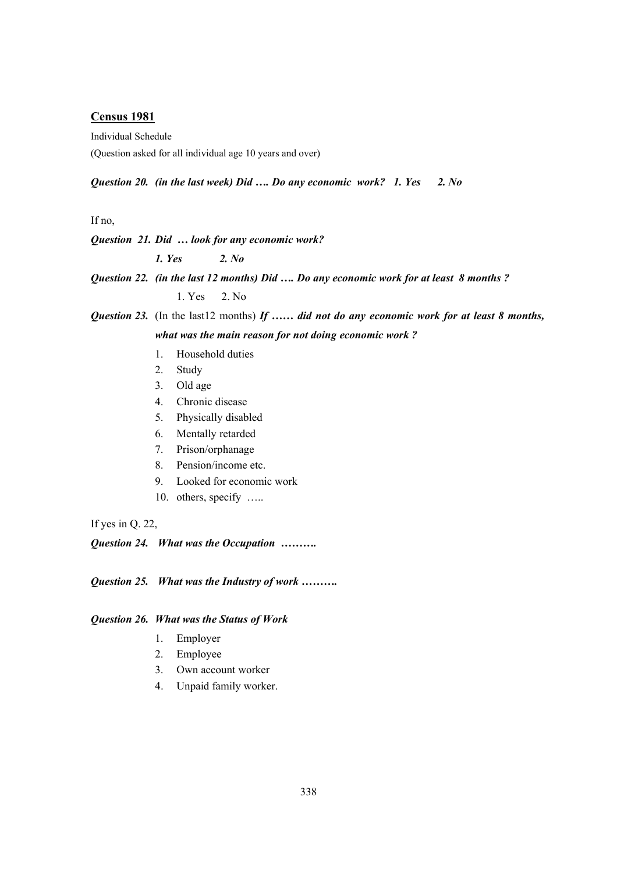#### **Census 1981**

Individual Schedule

(Question asked for all individual age 10 years and over)

#### *Question 20. (in the last week) Did …. Do any economic work? 1. Yes 2. No*

If no,

#### *Question 21. Did … look for any economic work?*

 *1. Yes 2. No* 

*Question 22. (in the last 12 months) Did …. Do any economic work for at least 8 months ?* 

1. Yes 2. No

*Question 23.* (In the last12 months) *If …… did not do any economic work for at least 8 months, what was the main reason for not doing economic work ?* 

- 1. Household duties
- 2. Study
- 3. Old age
- 4. Chronic disease
- 5. Physically disabled
- 6. Mentally retarded
- 7. Prison/orphanage
- 8. Pension/income etc.
- 9. Looked for economic work
- 10. others, specify .....

If yes in Q. 22,

*Question 24. What was the Occupation ……….* 

*Question 25. What was the Industry of work ……….* 

#### *Question 26. What was the Status of Work*

- 1. Employer
- 2. Employee
- 3. Own account worker
- 4. Unpaid family worker.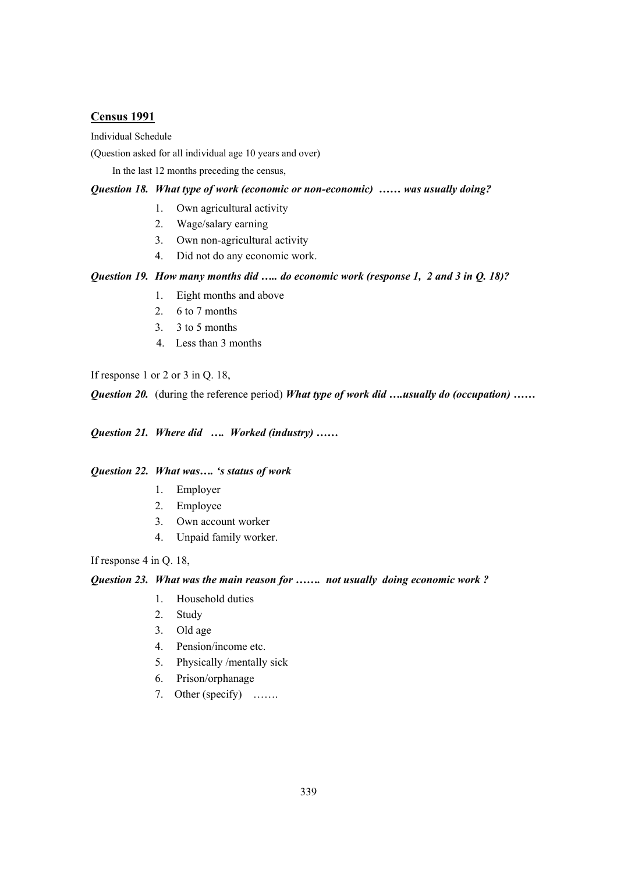#### **Census 1991**

#### Individual Schedule

(Question asked for all individual age 10 years and over)

In the last 12 months preceding the census,

### *Question 18. What type of work (economic or non-economic) …… was usually doing?*

- 1. Own agricultural activity
- 2. Wage/salary earning
- 3. Own non-agricultural activity
- 4. Did not do any economic work.

#### *Question 19. How many months did ….. do economic work (response 1, 2 and 3 in Q. 18)?*

- 1. Eight months and above
- 2. 6 to 7 months
- 3. 3 to 5 months
- 4. Less than 3 months

If response 1 or 2 or 3 in Q. 18,

*Question 20.* (during the reference period) *What type of work did ….usually do (occupation) ……* 

*Question 21. Where did …. Worked (industry) ……* 

#### *Question 22. What was…. 's status of work*

- 1. Employer
- 2. Employee
- 3. Own account worker
- 4. Unpaid family worker.

#### If response 4 in Q. 18,

*Question 23. What was the main reason for ……. not usually doing economic work ?* 

- 1. Household duties
- 2. Study
- 3. Old age
- 4. Pension/income etc.
- 5. Physically /mentally sick
- 6. Prison/orphanage
- 7. Other (specify) …….